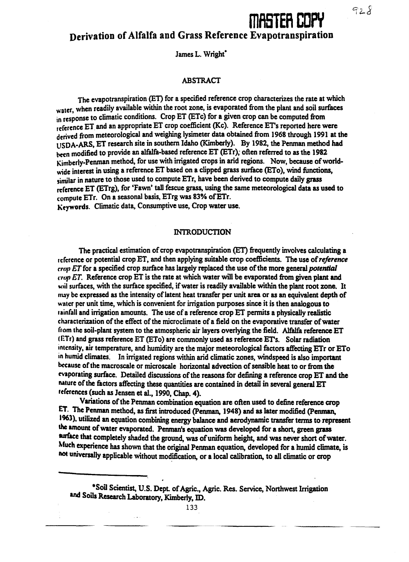# **ESTER COPY**

**Derivation of Alfalfa and Grass Reference Evapotranspiration**

James L. Wright'

#### ABSTRACT

The evapotranspiration (ET) for a specified reference crop characterizes the rate at which water, when readily available within the root zone, is evaporated from the plant and soil surfaces in response to climatic conditions. Crop ET (ETc) for a given crop can be computed from reference ET and an appropriate ET crop coefficient (Kc). Reference ET's reported here were derived from meteorological and weighing lysimeter data obtained from 1968 through 1991 at the USDA-ARS, ET research site in southern Idaho (Kimberly). By 1982, the Penman method had been modified to provide an alfalfa-based reference ET (ETr); often referred to as the 1982 Kimberly-Penman method, for use with irrigated crops in arid regions. Now, because of worldwide interest in using a reference ET based on a clipped grass surface (ETo), wind functions, similar in nature to those used to compute ETr, have been derived to compute daily grass reference ET (ETrg), for 'Fawn' tall fescue grass, using the same meteorological data as used to compute ETr. On a seasonal basis, ETrg was 83% of ETr. Keywords. Climatic data, Consumptive use, Crop water use.

#### **INTRODUCTION**

The practical estimation of crop evapotranspiration (ET) frequently involves calculating a reference or potential crop ET, and then applying suitable crop coefficients. The use of *reference crop ET* for a specified crop surface has largely replaced the use of the more general *potential crop ET.* Reference crop ET is the rate at which water will be evaporated from given plant and soil surfaces, with the surface specified, if water is readily available within the plant root zone. It *may* be expressed as the intensity of latent heat transfer per unit area or as an equivalent depth of water per unit time, which is convenient for irrigation purposes since it is then analogous to rainfall and irrigation amounts. The use of a reference crop ET permits a physically realistic characterization of the effect of the microclimate of a field on the evaporative transfer of water from the soil-plant system to the atmospheric air layers overlying the field. Alfalfa reference ET (ETr) and grass reference ET (ETo) are commonly used as reference ET's. Solar radiation intensity, air temperature, and humidity are the major meteorological factors affecting ETr or ETo in humid climates. In irrigated regions within arid climatic zones, windspeed is also important because of the macroscale or microscale horizontal advection of sensible heat to or from the evaporating surface. Detailed discussions of the reasons for defining a reference crop ET and the nature of the factors affecting these quantities are contained in detail in several general ET references (such as Jensen et al., 1990, Chap. 4).

Variations of the Penman combination equation are often used to define reference crop ET. The Penman method, as first introduced (Penman, 1948) and as later modified (Penman, 1963), utilized an equation combining energy balance and aerodynamic transfer terms to represent the amount of water evaporated. Penman's equation was developed for a short, green grass surface that completely shaded the ground, was of uniform height, and was never short of water. Much experience has shown that the original Penman equation, developed for a humid climate, is not universally applicable without modification, or a local calibration, to all climatic or crop

133

<sup>•</sup>Soil Scientist, U.S. Dept. of Agric., Agric. Res. Service, Northwest Irrigation and Soils Research Laboratory, Kimberly, ID.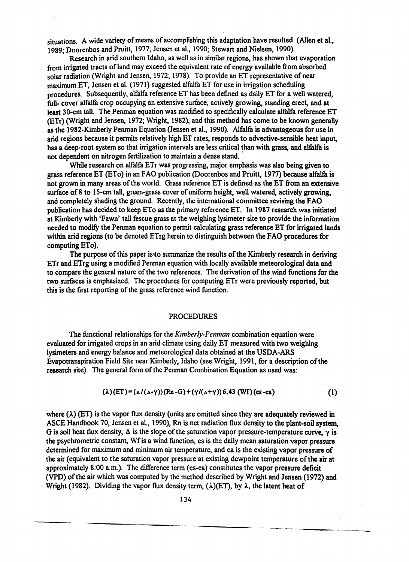situations. A wide variety of means of accomplishing this adaptation have resulted (Allen et al., 1989; Doorenbos and Pruitt, 1977; Jensen et al., 1990; Stewart and Nielsen, 1990).

Research in arid southern Idaho, as well as in similar regions, has shown that evaporation from irrigated tracts of land may exceed the equivalent rate of energy available from absorbed solar radiation (Wright and Jensen, 1972; 1978). To provide an ET representative of near maximum ET, Jensen et al. (1971) suggested alfalfa ET for use in irrigation scheduling procedures. Subsequently, alfalfa reference ET has been defined as daily ET for a well watered, full- cover alfalfa crop occupying an extensive surface, actively growing, standing erect, and at least 30-cm tall. The Penman equation was modified to specifically calculate alfalfa reference ET (ETr) (Wright and Jensen, 1972; Wright, 1982), and this method has come to be known generally as the 1982-Kimberly Penman Equation (Jensen et al., 1990). Alfalfa is advantageous for use in arid regions because it permits relatively high ET rates, responds to advective-sensible heat input, has a deep-root system so that irrigation intervals are less critical than with grass, and alfalfa is not dependent on nitrogen fertilization to maintain a dense stand.

While research on alfalfa ETr was progressing, major emphasis was also being given to grass reference ET (ETo) in an FAO publication (Doorenbos and Pruitt, 1977) because alfalfa is not grown in many areas of the world. Grass reference ET is defined as the ET from an extensive surface of 8 to 15-cm tall, green-grass cover of uniform height, well watered, actively growing, and completely shading the ground. Recently, the international committee revising the FAO publication has decided to keep ETo as the primary reference ET. In 1987 research was initiated at Kimberly with 'Fawn' tall fescue grass at the weighing lysimeter site to provide the information needed to modify the Penman equation to permit calculating grass reference ET for irrigated lands within arid regions (to be denoted ETrg herein to distinguish between the FAO procedures for computing ETo).

The purpose of this paper is to summarize the results of the Kimberly research in deriving ER and ETrg using a modified Penman equation with locally available meteorological data and to compare the general nature of the two references. The derivation of the wind functions for the two surfaces is emphasized. The procedures for computing ETr were previously reported, but this is the first reporting of the grass reference wind function.

#### PROCEDURES

The functional relationships for the *Kimberly-Penman* combination equation were evaluated for irrigated crops in an arid climate using daily ET measured with two weighing lysimeters and energy balance and meteorological data obtained at the USDA-ARS Evapotranspiration Field Site near Kimberly, Idaho (see Wright, 1991, for a description of the research site). The general form of the Penman Combination Equation as used was:

$$
(\lambda)(ET) = (\Delta/(\Delta+ \gamma))(Rn - G) + (\gamma/(\Delta+ \gamma))6.43 (Wf)(es - ea)
$$
 (1)

where  $(\lambda)$  (ET) is the vapor flux density (units are omitted since they are adequately reviewed in ASCE Handbook 70, Jensen et al., 1990), Rn is net radiation flux density to the plant-soil system, G is soil heat flux density,  $\Delta$  is the slope of the saturation vapor pressure-temperature curve,  $\gamma$  is the psychrometric constant, Wf is a wind function, es is the daily mean saturation vapor pressure determined for maximum and minimum air temperature, and ea is the existing vapor pressure of the air (equivalent to the saturation vapor pressure at existing dewpoint temperature of the air at approximately 8:00 a.m.). The difference term (es-ea) constitutes the vapor pressure deficit (VPD) of the air which was computed by the method described by Wright and Jensen (1972) and Wright (1982). Dividing the vapor flux density term,  $(\lambda)(ET)$ , by  $\lambda$ , the latent heat of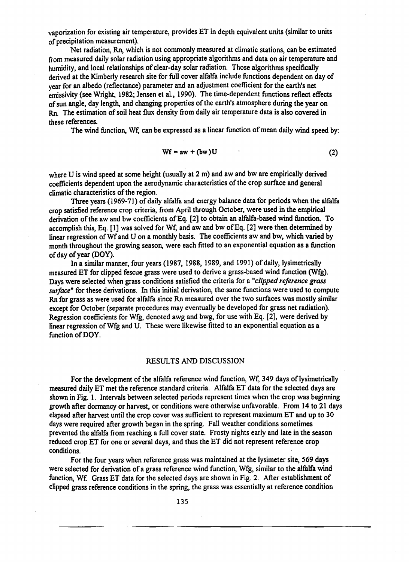vaporization for existing air temperature, provides ET in depth equivalent units (similar to units of precipitation measurement).

Net radiation, Rn, which is not commonly measured at climatic stations, can be estimated from measured daily solar radiation using appropriate algorithms and data on air temperature and humidity, and local relationships of clear-day solar radiation. Those algorithms specifically derived at the Kimberly research site for full cover alfalfa include functions dependent on day of year for an albedo (reflectance) parameter and an adjustment coefficient for the earth's net emissivity (see Wright, 1982; Jensen et al., 1990). The time-dependent functions reflect effects of sun angle, day length, and changing properties of the earth's atmosphere during the year on Rn. The estimation of soil heat flux density from daily air temperature data is also covered in these references.

The wind function, Wf, can be expressed as a linear function of mean daily wind speed by:

$$
Wf = aw + (bw)U
$$
 (2)

where U is wind speed at some height (usually at 2 m) and aw and bw are empirically derived coefficients dependent upon the aerodynamic characteristics of the crop surface and general climatic characteristics of the region.

Three years (1969-71) of daily alfalfa and energy balance data for periods when the alfalfa crop satisfied reference crop criteria, from April through October, were used in the empirical derivation of the aw and bw coefficients of Eq. [2] to obtain an alfalfa-based wind function. To accomplish this, Eq. [1] was solved for Wf, and aw and bw of Eq. [2] were then determined by linear regression of Wf and U on a monthly basis. The coefficients aw and bw, which varied by month throughout the growing season, were each fitted to an exponential equation as a function of day of year (DOY).

In a similar manner, four years (1987, 1988, 1989, and 1991) of daily, lysimetrically measured ET for clipped fescue grass were used to derive a grass-based wind function (Wfg). Days were selected when grass conditions satisfied the criteria for a *"clipped reference grass surface"* for these derivations. In this initial derivation, the same functions were used to compute Rn for grass as were used for alfalfa since Rn measured over the two surfaces was mostly similar except for October (separate procedures may eventually be developed for grass net radiation). Regression coefficients for Wfg, denoted awg and bwg, for use with Eq. [2], were derived by linear regression of Wfg and U. These were likewise fitted to an exponential equation as a function of DOY.

### RESULTS AND DISCUSSION

For the development of the alfalfa reference wind function, Wf, 349 days of lysimetrically measured daily ET met the reference standard criteria. Alfalfa ET data for the selected days are shown in Fig. 1. Intervals between selected periods represent times when the crop was beginning growth after dormancy or harvest, or conditions were otherwise unfavorable. From 14 to 21 days elapsed after harvest until the crop cover was sufficient to represent maximum ET and up to 30 days were required after growth began in the spring. Fall weather conditions sometimes prevented the alfalfa from reaching a full cover state. Frosty nights early and late in the season reduced crop ET for one or several days, and thus the ET did not represent reference crop conditions.

For the four years when reference grass was maintained at the lysimeter site, 569 days were selected for derivation of a grass reference wind function, Wfg, similar to the alfalfa wind function, Wf. Grass ET data for the selected days are shown in Fig. 2. After establishment of clipped grass reference conditions in the spring, the grass was essentially at reference condition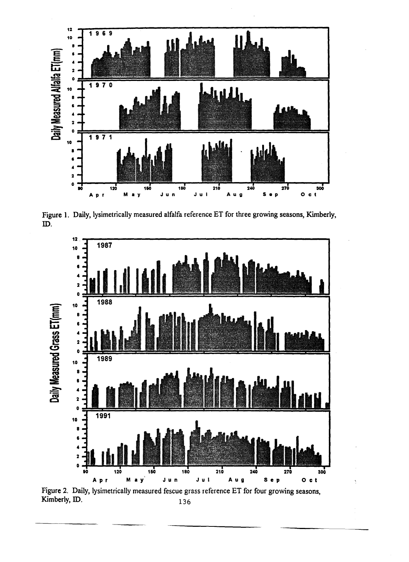

**Figure 1. Daily, lysimetrically measured alfalfa reference ET for three growing seasons, Kimberly, ID.**



**Kimberly, ID. 136**

 $\frac{1}{2}$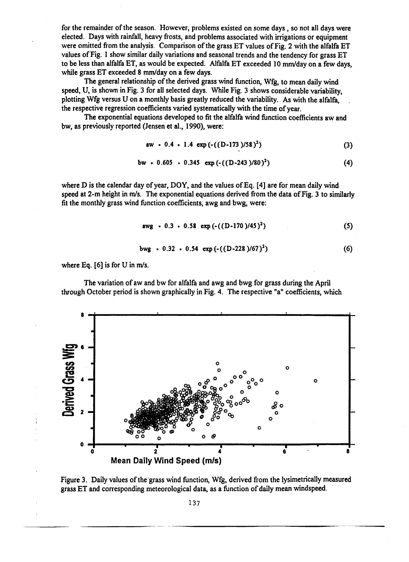for the remainder of the season. However, problems existed on some days , so not all days were elected. Days with rainfall, heavy frosts, and problems associated with irrigations or equipment were omitted from the analysis. Comparison of the grass ET values of Fig. 2 with the alfalfa ET values of Fig. 1 show similar daily variations and seasonal trends and the tendency for grass ET to be less than alfalfa ET, as would be expected. Alfalfa ET exceeded 10 mm/day on a few days, while grass ET exceeded 8 mm/day on a few days.

The general relationship of the derived grass wind function, Wfg, to mean daily wind speed, U, is shown in Fig. 3 for all selected days. While Fig. 3 shows considerable variability, plotting Wfg versus U on a monthly basis greatly reduced the variability. As with the alfalfa, the respective regression coefficients varied systematically with the time of year.

The exponential equations developed to fit the alfalfa wind function coefficients aw and bw, as previously reported (Jensen et al., 1990), were:

$$
aw = 0.4 + 1.4 \exp(-((D-173)/58)^2)
$$
 (3)

$$
bw = 0.605 + 0.345 \exp(-( (D-243)/80)^2)
$$
 (4)

where D is the calendar day of year, DOY, and the values of Eq. [4] are for mean daily wind speed at 2-m height in  $m/s$ . The exponential equations derived from the data of Fig. 3 to similarly fit the monthly grass wind function coefficients, awg and bwg, were:

$$
avg = 0.3 + 0.58 \exp(-( (D-170)/45)^2)
$$
 (5)

$$
bwg = 0.32 \cdot 0.54 \exp(-( (D-228)/67)^2) \tag{6}
$$

where Eq. [6] is for U in m/s.

The variation of aw and bw for alfalfa and awg and bwg for grass during the April through October period is shown graphically in Fig. 4. The respective "a" coefficients, which



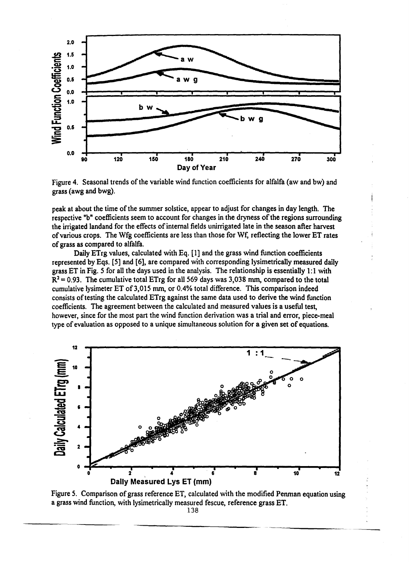

Figure 4. Seasonal trends of the variable wind function coefficients for alfalfa (aw and bw) and grass (awg and bwg).

peak at about the time of the summer solstice, appear to adjust for changes in day length. The respective "b" coefficients seem to account for changes in the dryness of the regions surrounding the irrigated landand for the effects of internal fields unirrigated late in the season after harvest of various crops. The Wfg coefficients are less than those for Wf, reflecting the lower ET rates of grass as compared to alfalfa.

Daily ETrg values, calculated with Eq. [1] and the grass wind function coefficients represented by Eqs. [5] and [6], are compared with corresponding lysimetrically measured daily grass ET in Fig. 5 for all the days used in the analysis. The relationship is essentially 1:1 with  $R^2$  = 0.93. The cumulative total ETrg for all 569 days was 3,038 mm, compared to the total cumulative lysimeter ET of 3,015 mm, or 0.4% total difference. This comparison indeed consists of testing the calculated ETrg against the same data used to derive the wind function coefficients. The agreement between the calculated and measured values is a useful test, however, since for the most part the wind function derivation was a trial and error, piece-meal type of evaluation as opposed to a unique simultaneous solution for a given set of equations.



Figure 5. Comparison of grass reference ET, calculated with the modified Penman equation using a grass wind function, with lysimetrically measured fescue, reference grass ET.

138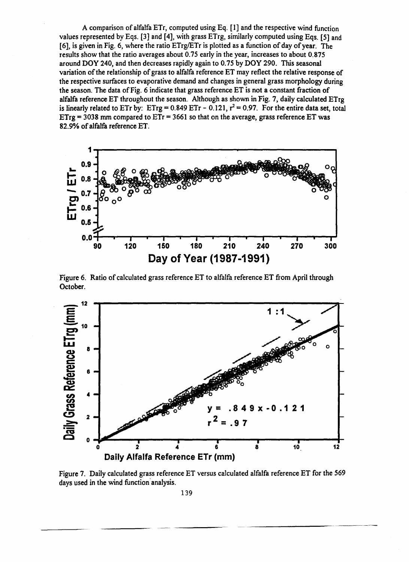A comparison of alfalfa ETr, computed using Eq. [1] and the respective wind function values represented by Eqs. [3] and [4], with grass ETrg, similarly computed using Eqs. [5] and [6], is given in Fig. 6, where the ratio ETrg/ETr is plotted as a function of day of year. The results show that the ratio averages about 0.75 early in the year, increases to about 0.875 around DOY 240, and then decreases rapidly again to 0.75 by DOY 290. This seasonal variation of the relationship of grass to alfalfa reference ET may reflect the relative response of the respective surfaces to evaporative demand and changes in general grass morphology during the season. The data of Fig. 6 indicate that grass reference ET is not a constant fraction of alfalfa reference ET throughout the season. Although as shown in Fig. 7, daily calculated ETrg is linearly related to ETr by: ETrg = 0.849 ETr - 0.121,  $r^2$  = 0.97. For the entire data set, total  $ETrg = 3038$  mm compared to  $ETr = 3661$  so that on the average, grass reference  $ET$  was 82.9% of alfalfa reference ET.



Figure 6. Ratio of calculated grass reference ET to alfalfa reference ET from April through October.



Figure 7. Daily calculated grass reference ET versus calculated alfalfa reference ET for the 569 days used in the wind function analysis.